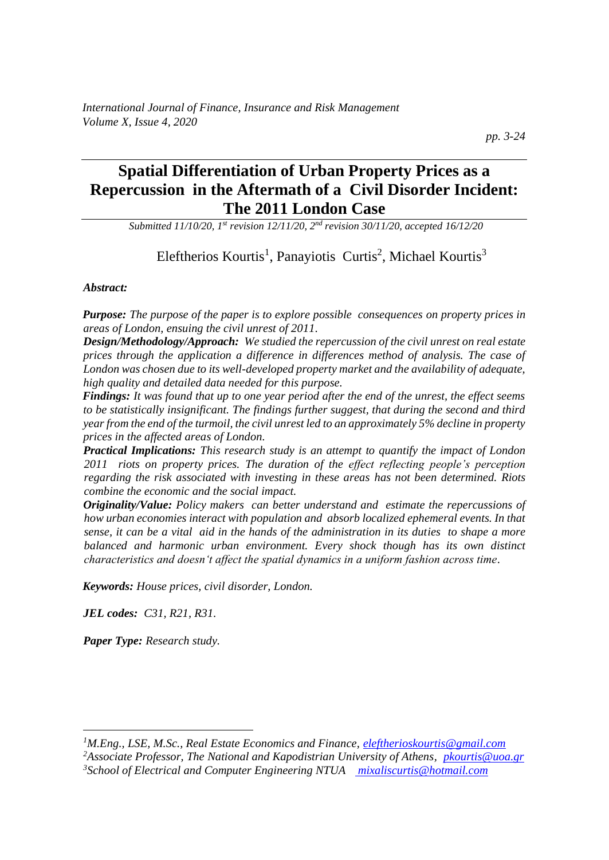# **Spatial Differentiation of Urban Property Prices as a Repercussion in the Aftermath of a Civil Disorder Incident: The 2011 London Case**

*Submitted 11/10/20, 1st revision 12/11/20, 2nd revision 30/11/20, accepted 16/12/20*

# Eleftherios Kourtis<sup>1</sup>, Panayiotis Curtis<sup>2</sup>, Michael Kourtis<sup>3</sup>

#### *Abstract:*

*Purpose: The purpose of the paper is to explore possible consequences on property prices in areas of London, ensuing the civil unrest of 2011.*

*Design/Methodology/Approach: We studied the repercussion of the civil unrest on real estate prices through the application a difference in differences method of analysis. The case of London was chosen due to its well-developed property market and the availability of adequate, high quality and detailed data needed for this purpose.*

*Findings: It was found that up to one year period after the end of the unrest, the effect seems to be statistically insignificant. The findings further suggest, that during the second and third year from the end of the turmoil, the civil unrest led to an approximately 5% decline in property prices in the affected areas of London.*

*Practical Implications: This research study is an attempt to quantify the impact of London 2011 riots on property prices. The duration of the effect reflecting people's perception regarding the risk associated with investing in these areas has not been determined. Riots combine the economic and the social impact.* 

*Originality/Value: Policy makers can better understand and estimate the repercussions of how urban economies interact with population and absorb localized ephemeral events. In that sense, it can be a vital aid in the hands of the administration in its duties to shape a more balanced and harmonic urban environment. Every shock though has its own distinct characteristics and doesn't affect the spatial dynamics in a uniform fashion across time.*

*Keywords: House prices, civil disorder, London.*

*JEL codes: C31, R21, R31.*

*Paper Type: Research study.* 

*<sup>1</sup>M.Eng., LSE, M.Sc., Real Estate Economics and Finance, [eleftherioskourtis@gmail.com](mailto:eleftherioskourtis@gmail.com)*

*<sup>2</sup>Associate Professor, The National and Kapodistrian University of Athens, [pkourtis@uoa.gr](mailto:pkourtis@uoa.gr) 3School of Electrical and Computer Engineering NTUA [mixaliscurtis@hotmail.com](mailto:NTUA%20%20%20mixaliscurtis@hotmail.com)*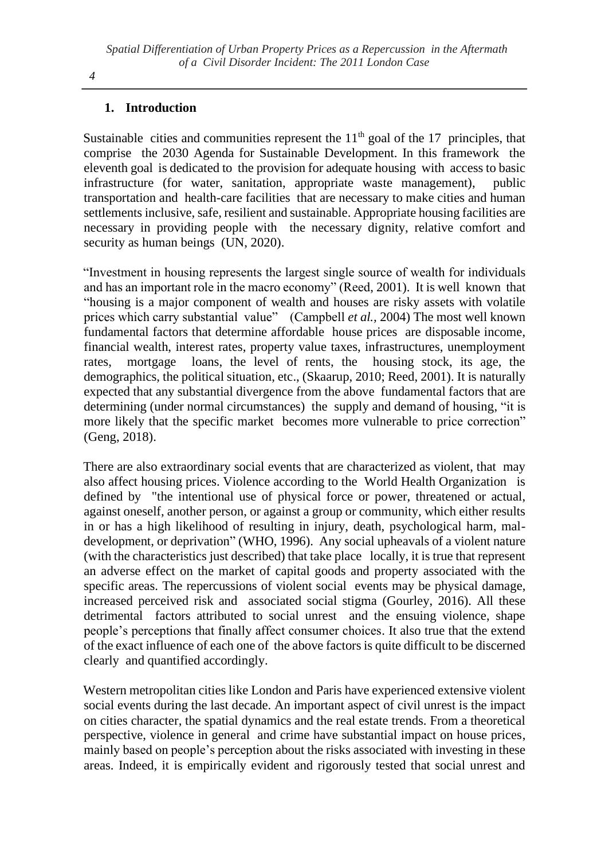### **1. Introduction**

Sustainable cities and communities represent the  $11<sup>th</sup>$  goal of the 17 principles, that comprise the 2030 Agenda for Sustainable Development. In this framework the eleventh goal is dedicated to the provision for adequate housing with access to basic infrastructure (for water, sanitation, appropriate waste management), public transportation and health-care facilities that are necessary to make cities and human settlements inclusive, safe, resilient and sustainable. Appropriate housing facilities are necessary in providing people with the necessary dignity, relative comfort and security as human beings (UN, 2020).

"Investment in housing represents the largest single source of wealth for individuals and has an important role in the macro economy" (Reed, 2001). Ιt is well known that "housing is a major component of wealth and houses are risky assets with volatile prices which carry substantial value" (Campbell *et al.,* 2004) The most well known fundamental factors that determine affordable house prices are disposable income, financial wealth, interest rates, property value taxes, infrastructures, unemployment rates, mortgage loans, the level of rents, the housing stock, its age, the demographics, the political situation, etc., (Skaarup, 2010; Reed, 2001). It is naturally expected that any substantial divergence from the above fundamental factors that are determining (under normal circumstances) the supply and demand of housing, "it is more likely that the specific market becomes more vulnerable to price correction" (Geng, 2018).

There are also extraordinary social events that are characterized as violent, that may also affect housing prices. Violence according to the World Health Organization is defined by "the intentional use of physical force or power, threatened or actual, against oneself, another person, or against a group or community, which either results in or has a high likelihood of resulting in injury, death, psychological harm, maldevelopment, or deprivation" (WHO, 1996). Any social upheavals of a violent nature (with the characteristics just described) that take place locally, it is true that represent an adverse effect on the market of capital goods and property associated with the specific areas. The repercussions of violent social events may be physical damage, increased perceived risk and associated social stigma (Gourley, 2016). All these detrimental factors attributed to social unrest and the ensuing violence, shape people's perceptions that finally affect consumer choices. It also true that the extend of the exact influence of each one of the above factors is quite difficult to be discerned clearly and quantified accordingly.

Western metropolitan cities like London and Paris have experienced extensive violent social events during the last decade. An important aspect of civil unrest is the impact on cities character, the spatial dynamics and the real estate trends. From a theoretical perspective, violence in general and crime have substantial impact on house prices, mainly based on people's perception about the risks associated with investing in these areas. Indeed, it is empirically evident and rigorously tested that social unrest and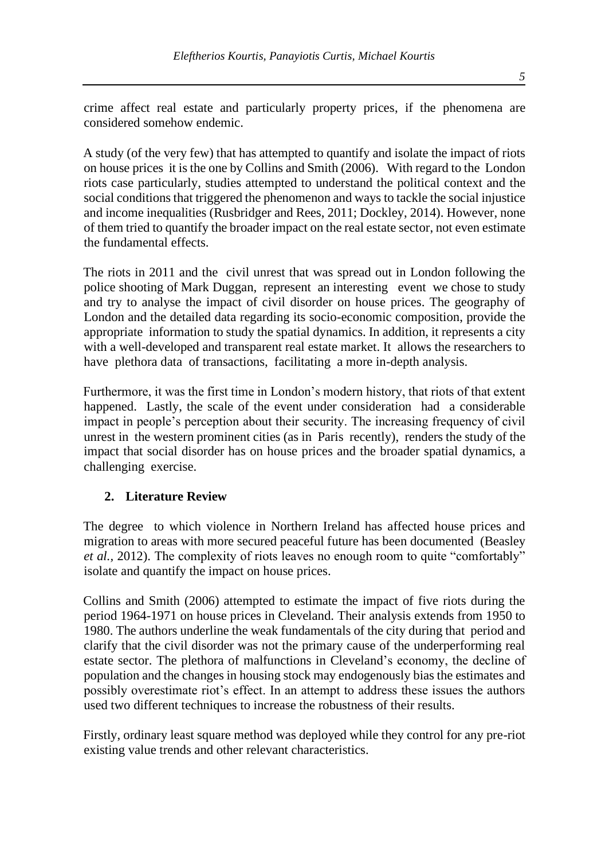crime affect real estate and particularly property prices, if the phenomena are considered somehow endemic.

A study (of the very few) that has attempted to quantify and isolate the impact of riots on house prices it is the one by Collins and Smith (2006). With regard to the London riots case particularly, studies attempted to understand the political context and the social conditions that triggered the phenomenon and ways to tackle the social injustice and income inequalities (Rusbridger and Rees, 2011; Dockley, 2014). However, none of them tried to quantify the broader impact on the real estate sector, not even estimate the fundamental effects.

The riots in 2011 and the civil unrest that was spread out in London following the police shooting of Mark Duggan, represent an interesting event we chose to study and try to analyse the impact of civil disorder on house prices. The geography of London and the detailed data regarding its socio-economic composition, provide the appropriate information to study the spatial dynamics. In addition, it represents a city with a well-developed and transparent real estate market. It allows the researchers to have plethora data of transactions, facilitating a more in-depth analysis.

Furthermore, it was the first time in London's modern history, that riots of that extent happened. Lastly, the scale of the event under consideration had a considerable impact in people's perception about their security. The increasing frequency of civil unrest in the western prominent cities (as in Paris recently), renders the study of the impact that social disorder has on house prices and the broader spatial dynamics, a challenging exercise.

### **2. Literature Review**

The degree to which violence in Northern Ireland has affected house prices and migration to areas with more secured peaceful future has been documented (Beasley *et al.,* 2012). The complexity of riots leaves no enough room to quite "comfortably" isolate and quantify the impact on house prices.

Collins and Smith (2006) attempted to estimate the impact of five riots during the period 1964-1971 on house prices in Cleveland. Their analysis extends from 1950 to 1980. The authors underline the weak fundamentals of the city during that period and clarify that the civil disorder was not the primary cause of the underperforming real estate sector. The plethora of malfunctions in Cleveland's economy, the decline of population and the changes in housing stock may endogenously bias the estimates and possibly overestimate riot's effect. In an attempt to address these issues the authors used two different techniques to increase the robustness of their results.

Firstly, ordinary least square method was deployed while they control for any pre-riot existing value trends and other relevant characteristics.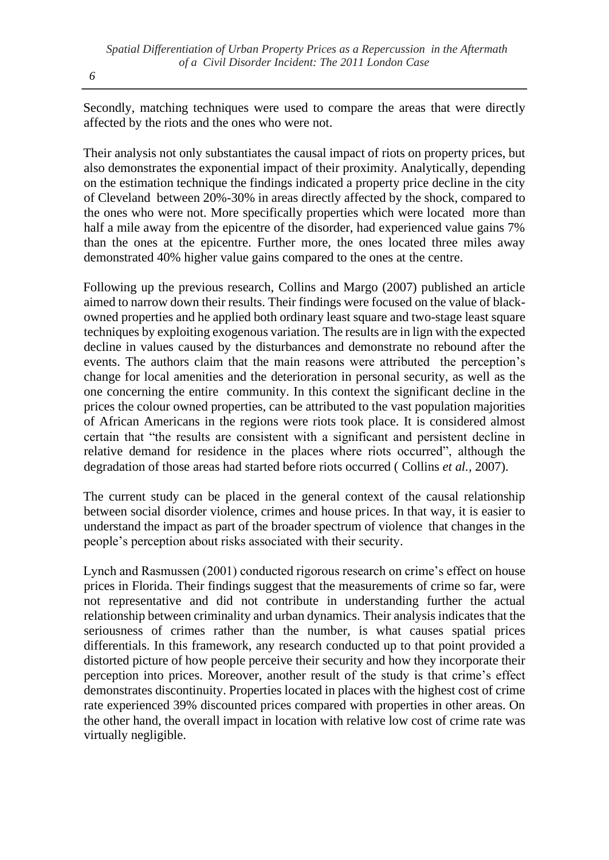Secondly, matching techniques were used to compare the areas that were directly affected by the riots and the ones who were not.

Their analysis not only substantiates the causal impact of riots on property prices, but also demonstrates the exponential impact of their proximity. Analytically, depending on the estimation technique the findings indicated a property price decline in the city of Cleveland between 20%-30% in areas directly affected by the shock, compared to the ones who were not. More specifically properties which were located more than half a mile away from the epicentre of the disorder, had experienced value gains 7% than the ones at the epicentre. Further more, the ones located three miles away demonstrated 40% higher value gains compared to the ones at the centre.

Following up the previous research, Collins and Margo (2007) published an article aimed to narrow down their results. Their findings were focused on the value of blackowned properties and he applied both ordinary least square and two-stage least square techniques by exploiting exogenous variation. The results are in lign with the expected decline in values caused by the disturbances and demonstrate no rebound after the events. The authors claim that the main reasons were attributed the perception's change for local amenities and the deterioration in personal security, as well as the one concerning the entire community. In this context the significant decline in the prices the colour owned properties, can be attributed to the vast population majorities of African Americans in the regions were riots took place. It is considered almost certain that "the results are consistent with a significant and persistent decline in relative demand for residence in the places where riots occurred", although the degradation of those areas had started before riots occurred ( Collins *et al.,* 2007).

The current study can be placed in the general context of the causal relationship between social disorder violence, crimes and house prices. In that way, it is easier to understand the impact as part of the broader spectrum of violence that changes in the people's perception about risks associated with their security.

Lynch and Rasmussen (2001) conducted rigorous research on crime's effect on house prices in Florida. Their findings suggest that the measurements of crime so far, were not representative and did not contribute in understanding further the actual relationship between criminality and urban dynamics. Their analysis indicates that the seriousness of crimes rather than the number, is what causes spatial prices differentials. In this framework, any research conducted up to that point provided a distorted picture of how people perceive their security and how they incorporate their perception into prices. Moreover, another result of the study is that crime's effect demonstrates discontinuity. Properties located in places with the highest cost of crime rate experienced 39% discounted prices compared with properties in other areas. On the other hand, the overall impact in location with relative low cost of crime rate was virtually negligible.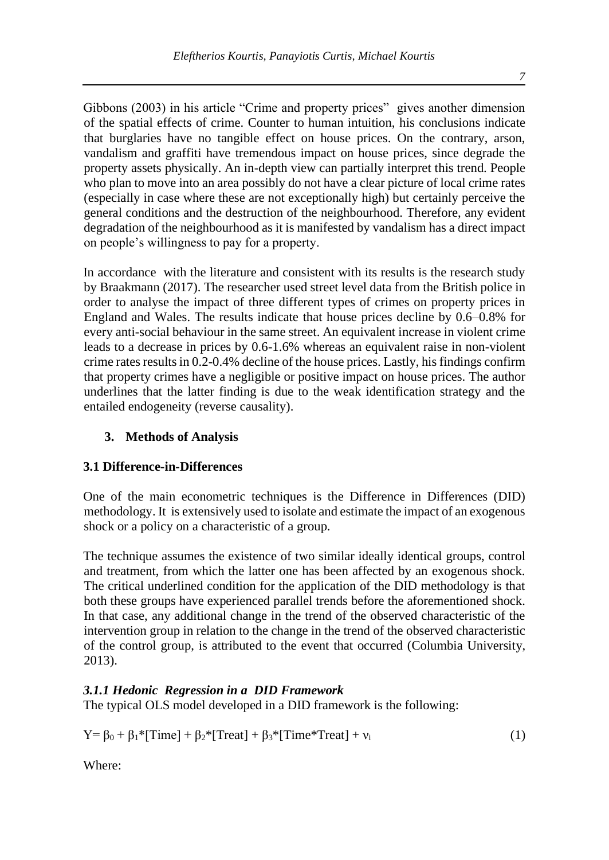Gibbons (2003) in his article "Crime and property prices" gives another dimension of the spatial effects of crime. Counter to human intuition, his conclusions indicate that burglaries have no tangible effect on house prices. On the contrary, arson, vandalism and graffiti have tremendous impact on house prices, since degrade the property assets physically. An in-depth view can partially interpret this trend. People who plan to move into an area possibly do not have a clear picture of local crime rates (especially in case where these are not exceptionally high) but certainly perceive the general conditions and the destruction of the neighbourhood. Therefore, any evident degradation of the neighbourhood as it is manifested by vandalism has a direct impact on people's willingness to pay for a property.

In accordance with the literature and consistent with its results is the research study by Braakmann (2017). The researcher used street level data from the British police in order to analyse the impact of three different types of crimes on property prices in England and Wales. The results indicate that house prices decline by 0.6–0.8% for every anti-social behaviour in the same street. An equivalent increase in violent crime leads to a decrease in prices by 0.6-1.6% whereas an equivalent raise in non-violent crime rates results in 0.2-0.4% decline of the house prices. Lastly, his findings confirm that property crimes have a negligible or positive impact on house prices. The author underlines that the latter finding is due to the weak identification strategy and the entailed endogeneity (reverse causality).

### **3. Methods of Analysis**

### **3.1 Difference-in-Differences**

One of the main econometric techniques is the Difference in Differences (DID) methodology. It is extensively used to isolate and estimate the impact of an exogenous shock or a policy on a characteristic of a group.

The technique assumes the existence of two similar ideally identical groups, control and treatment, from which the latter one has been affected by an exogenous shock. The critical underlined condition for the application of the DID methodology is that both these groups have experienced parallel trends before the aforementioned shock. In that case, any additional change in the trend of the observed characteristic of the intervention group in relation to the change in the trend of the observed characteristic of the control group, is attributed to the event that occurred (Columbia University, 2013).

### *3.1.1 Hedonic Regression in a DID Framework*

The typical OLS model developed in a DID framework is the following:

 $Y = \beta_0 + \beta_1 * [Time] + \beta_2 * [Tree1] + \beta_3 * [Time*Tree1] + v_i$  (1)

Where: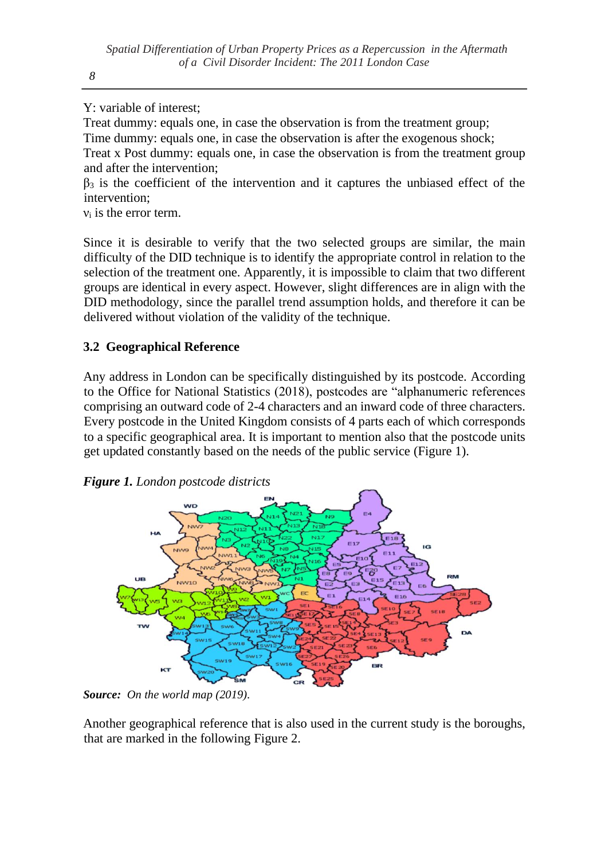Y: variable of interest;

Treat dummy: equals one, in case the observation is from the treatment group; Time dummy: equals one, in case the observation is after the exogenous shock; Treat x Post dummy: equals one, in case the observation is from the treatment group and after the intervention;

 $β_3$  is the coefficient of the intervention and it captures the unbiased effect of the intervention;

ν<sup>i</sup> is the error term.

Since it is desirable to verify that the two selected groups are similar, the main difficulty of the DID technique is to identify the appropriate control in relation to the selection of the treatment one. Apparently, it is impossible to claim that two different groups are identical in every aspect. However, slight differences are in align with the DID methodology, since the parallel trend assumption holds, and therefore it can be delivered without violation of the validity of the technique.

### **3.2 Geographical Reference**

Any address in London can be specifically distinguished by its postcode. According to the Office for National Statistics (2018), postcodes are "alphanumeric references comprising an outward code of 2-4 characters and an inward code of three characters. Every postcode in the United Kingdom consists of 4 parts each of which corresponds to a specific geographical area. It is important to mention also that the postcode units get updated constantly based on the needs of the public service (Figure 1).



*Figure 1. London postcode districts*

*Source: On the world map (2019).*

Another geographical reference that is also used in the current study is the boroughs, that are marked in the following Figure 2.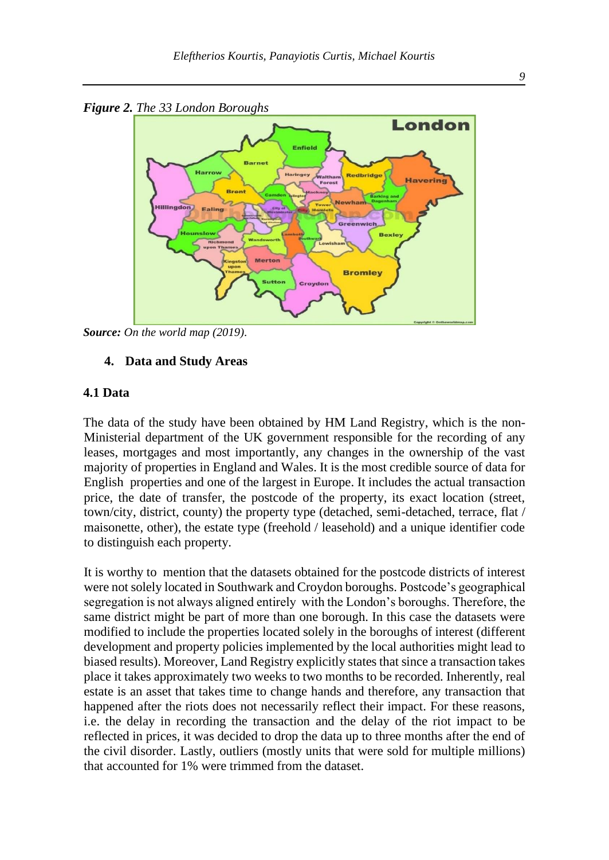

*Source: On the world map (2019).*

#### **4. Data and Study Areas**

#### **4.1 Data**

The data of the study have been obtained by HM Land Registry, which is the non-Ministerial department of the UK government responsible for the recording of any leases, mortgages and most importantly, any changes in the ownership of the vast majority of properties in England and Wales. It is the most credible source of data for English properties and one of the largest in Europe. It includes the actual transaction price, the date of transfer, the postcode of the property, its exact location (street, town/city, district, county) the property type (detached, semi-detached, terrace, flat / maisonette, other), the estate type (freehold / leasehold) and a unique identifier code to distinguish each property.

It is worthy to mention that the datasets obtained for the postcode districts of interest were not solely located in Southwark and Croydon boroughs. Postcode's geographical segregation is not always aligned entirely with the London's boroughs. Therefore, the same district might be part of more than one borough. In this case the datasets were modified to include the properties located solely in the boroughs of interest (different development and property policies implemented by the local authorities might lead to biased results). Moreover, Land Registry explicitly states that since a transaction takes place it takes approximately two weeks to two months to be recorded. Inherently, real estate is an asset that takes time to change hands and therefore, any transaction that happened after the riots does not necessarily reflect their impact. For these reasons, i.e. the delay in recording the transaction and the delay of the riot impact to be reflected in prices, it was decided to drop the data up to three months after the end of the civil disorder. Lastly, outliers (mostly units that were sold for multiple millions) that accounted for 1% were trimmed from the dataset.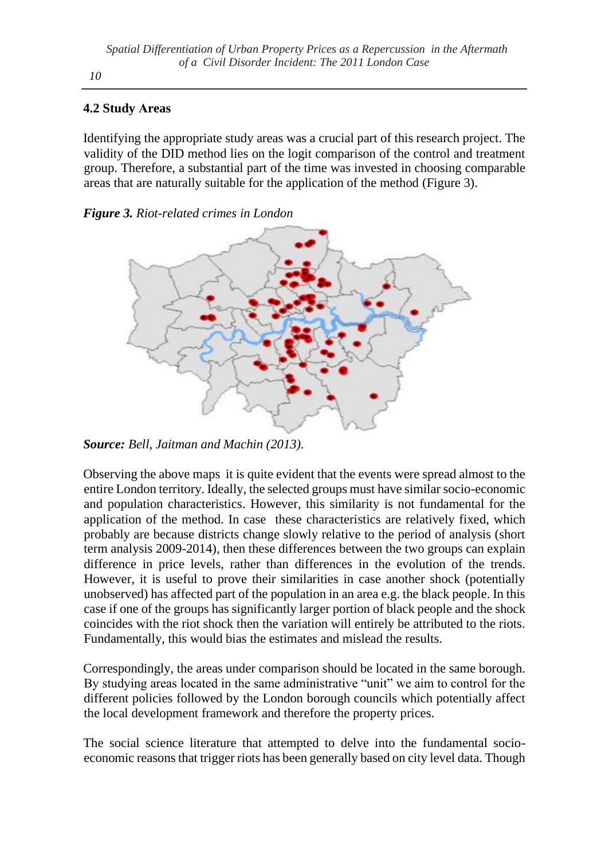### **4.2 Study Αreas**

Identifying the appropriate study areas was a crucial part of this research project. The validity of the DID method lies on the logit comparison of the control and treatment group. Therefore, a substantial part of the time was invested in choosing comparable areas that are naturally suitable for the application of the method (Figure 3).

### *Figure 3. Riot-related crimes in London*



*Source: Bell, Jaitman and Machin (2013).*

Observing the above maps it is quite evident that the events were spread almost to the entire London territory. Ideally, the selected groups must have similar socio-economic and population characteristics. However, this similarity is not fundamental for the application of the method. In case these characteristics are relatively fixed, which probably are because districts change slowly relative to the period of analysis (short term analysis 2009-2014), then these differences between the two groups can explain difference in price levels, rather than differences in the evolution of the trends. However, it is useful to prove their similarities in case another shock (potentially unobserved) has affected part of the population in an area e.g. the black people. In this case if one of the groups has significantly larger portion of black people and the shock coincides with the riot shock then the variation will entirely be attributed to the riots. Fundamentally, this would bias the estimates and mislead the results.

Correspondingly, the areas under comparison should be located in the same borough. By studying areas located in the same administrative "unit" we aim to control for the different policies followed by the London borough councils which potentially affect the local development framework and therefore the property prices.

The social science literature that attempted to delve into the fundamental socioeconomic reasons that trigger riots has been generally based on city level data. Though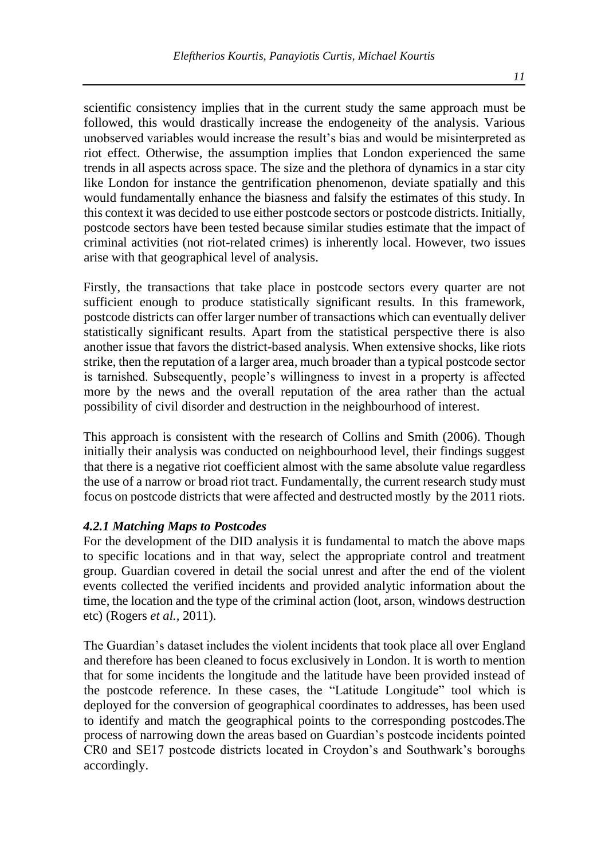scientific consistency implies that in the current study the same approach must be followed, this would drastically increase the endogeneity of the analysis. Various unobserved variables would increase the result's bias and would be misinterpreted as riot effect. Otherwise, the assumption implies that London experienced the same trends in all aspects across space. The size and the plethora of dynamics in a star city like London for instance the gentrification phenomenon, deviate spatially and this would fundamentally enhance the biasness and falsify the estimates of this study. In this context it was decided to use either postcode sectors or postcode districts. Initially, postcode sectors have been tested because similar studies estimate that the impact of criminal activities (not riot-related crimes) is inherently local. However, two issues arise with that geographical level of analysis.

Firstly, the transactions that take place in postcode sectors every quarter are not sufficient enough to produce statistically significant results. In this framework, postcode districts can offer larger number of transactions which can eventually deliver statistically significant results. Apart from the statistical perspective there is also another issue that favors the district-based analysis. When extensive shocks, like riots strike, then the reputation of a larger area, much broader than a typical postcode sector is tarnished. Subsequently, people's willingness to invest in a property is affected more by the news and the overall reputation of the area rather than the actual possibility of civil disorder and destruction in the neighbourhood of interest.

This approach is consistent with the research of Collins and Smith (2006). Though initially their analysis was conducted on neighbourhood level, their findings suggest that there is a negative riot coefficient almost with the same absolute value regardless the use of a narrow or broad riot tract. Fundamentally, the current research study must focus on postcode districts that were affected and destructed mostly by the 2011 riots.

#### *4.2.1 Matching Maps to Postcodes*

For the development of the DID analysis it is fundamental to match the above maps to specific locations and in that way, select the appropriate control and treatment group. Guardian covered in detail the social unrest and after the end of the violent events collected the verified incidents and provided analytic information about the time, the location and the type of the criminal action (loot, arson, windows destruction etc) (Rogers *et al.,* 2011).

The Guardian's dataset includes the violent incidents that took place all over England and therefore has been cleaned to focus exclusively in London. It is worth to mention that for some incidents the longitude and the latitude have been provided instead of the postcode reference. In these cases, the "Latitude Longitude" tool which is deployed for the conversion of geographical coordinates to addresses, has been used to identify and match the geographical points to the corresponding postcodes.The process of narrowing down the areas based on Guardian's postcode incidents pointed CR0 and SE17 postcode districts located in Croydon's and Southwark's boroughs accordingly.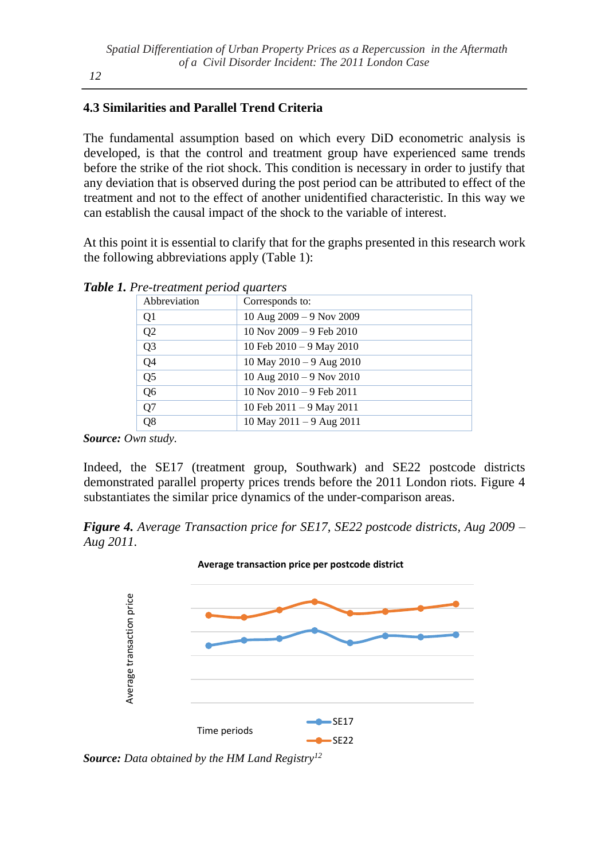#### *12*

### **4.3 Similarities and Parallel Trend Criteria**

The fundamental assumption based on which every DiD econometric analysis is developed, is that the control and treatment group have experienced same trends before the strike of the riot shock. This condition is necessary in order to justify that any deviation that is observed during the post period can be attributed to effect of the treatment and not to the effect of another unidentified characteristic. In this way we can establish the causal impact of the shock to the variable of interest.

At this point it is essential to clarify that for the graphs presented in this research work the following abbreviations apply (Table 1):

| Abbreviation   | Corresponds to:                |
|----------------|--------------------------------|
| Q1             | 10 Aug $2009 - 9$ Nov $2009$   |
| Q <sub>2</sub> | $10$ Nov $2009 - 9$ Feb $2010$ |
| Q <sub>3</sub> | 10 Feb $2010 - 9$ May 2010     |
| Q4             | 10 May $2010 - 9$ Aug $2010$   |
| Q <sub>5</sub> | 10 Aug $2010 - 9$ Nov $2010$   |
| Q6             | $10$ Nov $2010 - 9$ Feb $2011$ |
| Q7             | 10 Feb $2011 - 9$ May $2011$   |
| Q8             | $10$ May $2011 - 9$ Aug $2011$ |

*Table 1. Pre-treatment period quarters*

*Source: Own study.*

Indeed, the SE17 (treatment group, Southwark) and SE22 postcode districts demonstrated parallel property prices trends before the 2011 London riots. Figure 4 substantiates the similar price dynamics of the under-comparison areas.

*Figure 4. Average Transaction price for SE17, SE22 postcode districts, Aug 2009 – Aug 2011.*

**Average transaction price per postcode district**

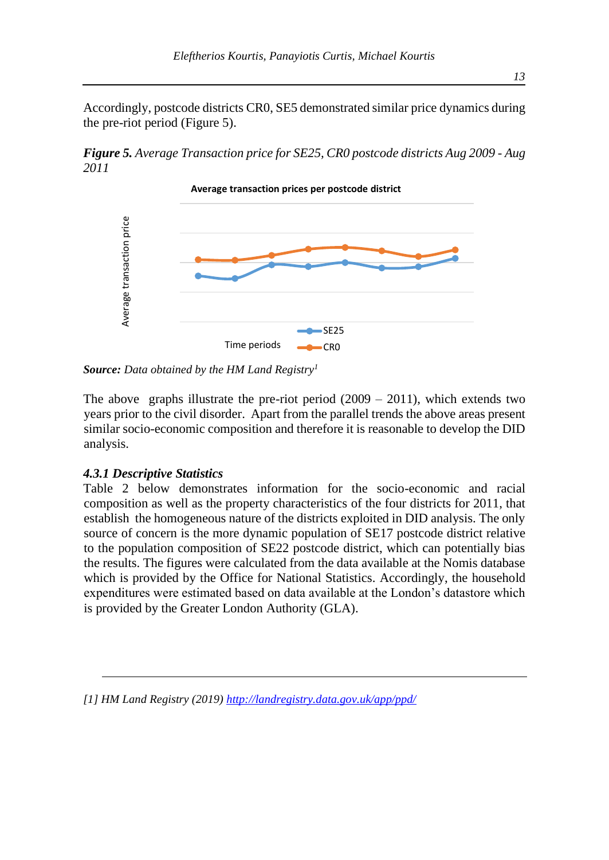Accordingly, postcode districts CR0, SE5 demonstrated similar price dynamics during the pre-riot period (Figure 5).

*Figure 5. Average Transaction price for SE25, CR0 postcode districts Aug 2009 - Aug 2011* 



*Source: Data obtained by the HM Land Registry<sup>1</sup>*

The above graphs illustrate the pre-riot period  $(2009 - 2011)$ , which extends two years prior to the civil disorder. Apart from the parallel trends the above areas present similar socio-economic composition and therefore it is reasonable to develop the DID analysis.

### *4.3.1 Descriptive Statistics*

Table 2 below demonstrates information for the socio-economic and racial composition as well as the property characteristics of the four districts for 2011, that establish the homogeneous nature of the districts exploited in DID analysis. The only source of concern is the more dynamic population of SE17 postcode district relative to the population composition of SE22 postcode district, which can potentially bias the results. The figures were calculated from the data available at the Nomis database which is provided by the Office for National Statistics. Accordingly, the household expenditures were estimated based on data available at the London's datastore which is provided by the Greater London Authority (GLA). **Example 12** Time periods<br> **Example 12** Time periods<br> **Example 12** Time periods<br> **Source:** Data obtained by the HM Land Registry'<br>
The above graphs illustrate the pre-riot period (2009 – 2011)<br>
years prior to the civil di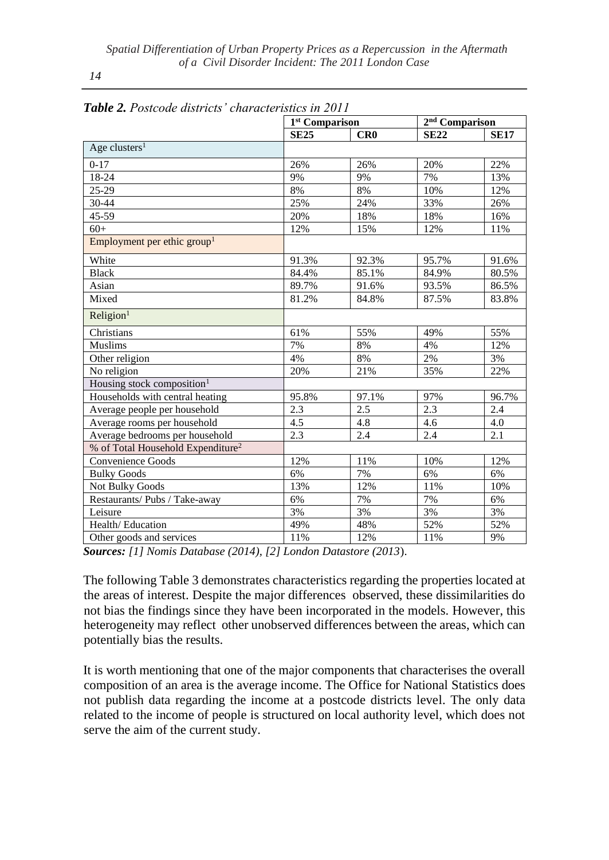*14*

|                                               | 1 <sup>st</sup> Comparison |       | 2 <sup>nd</sup> Comparison |             |
|-----------------------------------------------|----------------------------|-------|----------------------------|-------------|
|                                               | <b>SE25</b>                | CR0   | <b>SE22</b>                | <b>SE17</b> |
| Age clusters <sup>1</sup>                     |                            |       |                            |             |
| $0 - 17$                                      | 26%                        | 26%   | 20%                        | 22%         |
| 18-24                                         | 9%                         | 9%    | 7%                         | 13%         |
| 25-29                                         | 8%                         | 8%    | $10\%$                     | 12%         |
| 30-44                                         | 25%                        | 24%   | 33%                        | 26%         |
| 45-59                                         | 20%                        | 18%   | 18%                        | 16%         |
| $60+$                                         | 12%                        | 15%   | 12%                        | 11%         |
| Employment per ethic group <sup>1</sup>       |                            |       |                            |             |
| White                                         | 91.3%                      | 92.3% | 95.7%                      | 91.6%       |
| <b>Black</b>                                  | 84.4%                      | 85.1% | 84.9%                      | 80.5%       |
| Asian                                         | 89.7%                      | 91.6% | 93.5%                      | 86.5%       |
| Mixed                                         | 81.2%                      | 84.8% | 87.5%                      | 83.8%       |
| Religion <sup>1</sup>                         |                            |       |                            |             |
| Christians                                    | 61%                        | 55%   | 49%                        | 55%         |
| Muslims                                       | 7%                         | $8\%$ | 4%                         | 12%         |
| Other religion                                | 4%                         | 8%    | 2%                         | 3%          |
| No religion                                   | 20%                        | 21%   | 35%                        | 22%         |
| Housing stock composition <sup>1</sup>        |                            |       |                            |             |
| Households with central heating               | 95.8%                      | 97.1% | 97%                        | 96.7%       |
| Average people per household                  | 2.3                        | 2.5   | 2.3                        | 2.4         |
| Average rooms per household                   | 4.5                        | 4.8   | 4.6                        | 4.0         |
| Average bedrooms per household                | 2.3                        | 2.4   | 2.4                        | 2.1         |
| % of Total Household Expenditure <sup>2</sup> |                            |       |                            |             |
| Convenience Goods                             | 12%                        | 11%   | 10%                        | 12%         |
| <b>Bulky Goods</b>                            | 6%                         | 7%    | 6%                         | 6%          |
| Not Bulky Goods                               | 13%                        | 12%   | 11%                        | 10%         |
| Restaurants/ Pubs / Take-away                 | 6%                         | 7%    | 7%                         | 6%          |
| Leisure                                       | 3%                         | 3%    | 3%                         | 3%          |
| Health/Education                              | 49%                        | 48%   | 52%                        | 52%         |
| Other goods and services                      | 11%                        | 12%   | 11%                        | 9%          |

|--|

*Sources: [1] Nomis Database (2014), [2] London Datastore (2013*).

The following Table 3 demonstrates characteristics regarding the properties located at the areas of interest. Despite the major differences observed, these dissimilarities do not bias the findings since they have been incorporated in the models. However, this heterogeneity may reflect other unobserved differences between the areas, which can potentially bias the results.

It is worth mentioning that one of the major components that characterises the overall composition of an area is the average income. The Office for National Statistics does not publish data regarding the income at a postcode districts level. The only data related to the income of people is structured on local authority level, which does not serve the aim of the current study.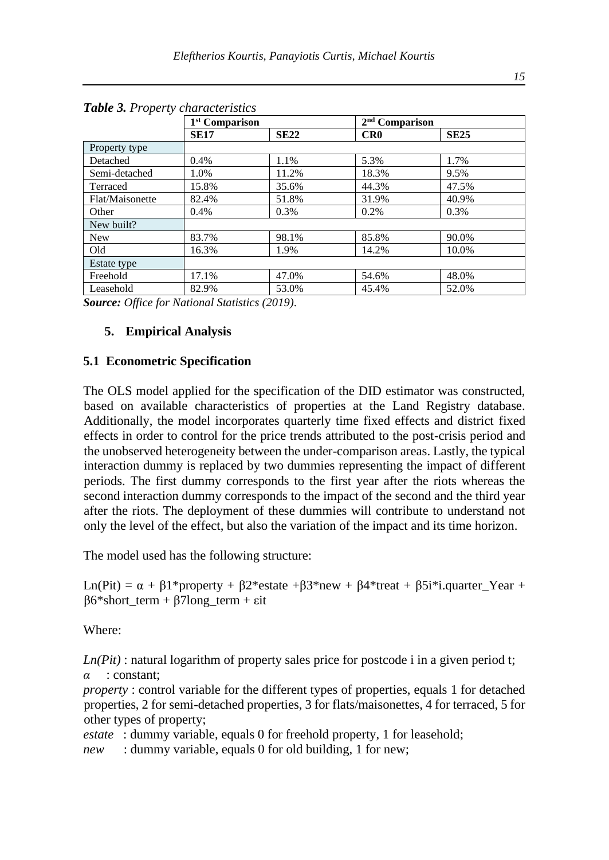|                 |             | 1 <sup>st</sup> Comparison |       | $2nd$ Comparison |
|-----------------|-------------|----------------------------|-------|------------------|
|                 | <b>SE17</b> | <b>SE22</b>                | CR0   | <b>SE25</b>      |
| Property type   |             |                            |       |                  |
| Detached        | 0.4%        | 1.1%                       | 5.3%  | 1.7%             |
| Semi-detached   | 1.0%        | 11.2%                      | 18.3% | 9.5%             |
| Terraced        | 15.8%       | 35.6%                      | 44.3% | 47.5%            |
| Flat/Maisonette | 82.4%       | 51.8%                      | 31.9% | 40.9%            |
| Other           | 0.4%        | $0.3\%$                    | 0.2%  | 0.3%             |
| New built?      |             |                            |       |                  |
| <b>New</b>      | 83.7%       | 98.1%                      | 85.8% | 90.0%            |
| Old             | 16.3%       | 1.9%                       | 14.2% | 10.0%            |
| Estate type     |             |                            |       |                  |
| Freehold        | 17.1%       | 47.0%                      | 54.6% | 48.0%            |
| Leasehold       | 82.9%       | 53.0%                      | 45.4% | 52.0%            |

*Table 3. Property characteristics*

*Source: Office for National Statistics (2019).*

### **5. Empirical Analysis**

#### **5.1 Econometric Specification**

The OLS model applied for the specification of the DID estimator was constructed, based on available characteristics of properties at the Land Registry database. Additionally, the model incorporates quarterly time fixed effects and district fixed effects in order to control for the price trends attributed to the post-crisis period and the unobserved heterogeneity between the under-comparison areas. Lastly, the typical interaction dummy is replaced by two dummies representing the impact of different periods. The first dummy corresponds to the first year after the riots whereas the second interaction dummy corresponds to the impact of the second and the third year after the riots. The deployment of these dummies will contribute to understand not only the level of the effect, but also the variation of the impact and its time horizon.

The model used has the following structure:

Ln(Pit) =  $\alpha$  +  $\beta$ 1\*property +  $\beta$ 2\*estate + $\beta$ 3\*new +  $\beta$ 4\*treat +  $\beta$ 5i\*i.quarter\_Year +  $β6*short term + β7long term + εit$ 

Where:

*Ln(Pit)* : natural logarithm of property sales price for postcode i in a given period t; *α* : constant;

*property* : control variable for the different types of properties, equals 1 for detached properties, 2 for semi-detached properties, 3 for flats/maisonettes, 4 for terraced, 5 for other types of property;

*estate* : dummy variable, equals 0 for freehold property, 1 for leasehold;

*new* : dummy variable, equals 0 for old building, 1 for new;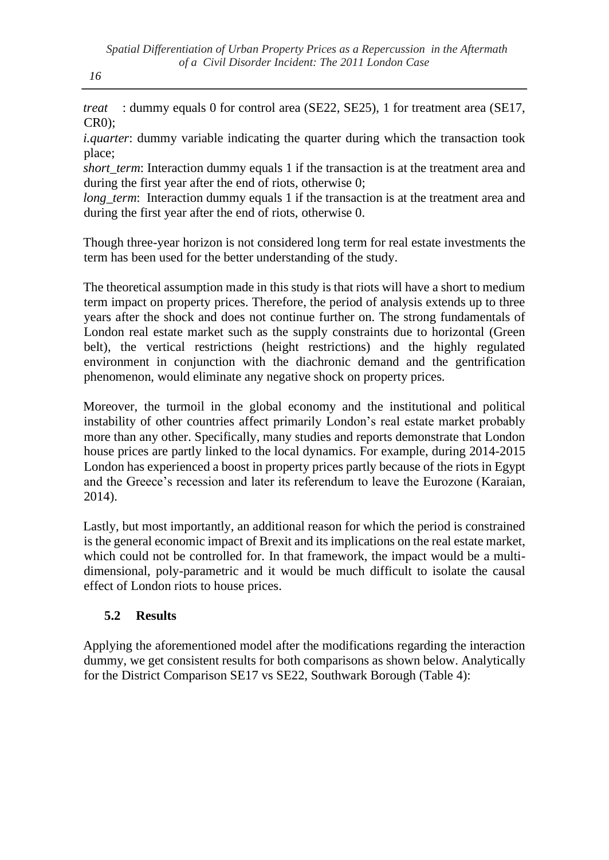*treat* : dummy equals 0 for control area (SE22, SE25), 1 for treatment area (SE17, CR0);

*i.quarter*: dummy variable indicating the quarter during which the transaction took place;

*short term*: Interaction dummy equals 1 if the transaction is at the treatment area and during the first year after the end of riots, otherwise 0;

*long\_term*: Interaction dummy equals 1 if the transaction is at the treatment area and during the first year after the end of riots, otherwise 0.

Though three-year horizon is not considered long term for real estate investments the term has been used for the better understanding of the study.

The theoretical assumption made in this study is that riots will have a short to medium term impact on property prices. Therefore, the period of analysis extends up to three years after the shock and does not continue further on. The strong fundamentals of London real estate market such as the supply constraints due to horizontal (Green belt), the vertical restrictions (height restrictions) and the highly regulated environment in conjunction with the diachronic demand and the gentrification phenomenon, would eliminate any negative shock on property prices.

Moreover, the turmoil in the global economy and the institutional and political instability of other countries affect primarily London's real estate market probably more than any other. Specifically, many studies and reports demonstrate that London house prices are partly linked to the local dynamics. For example, during 2014-2015 London has experienced a boost in property prices partly because of the riots in Egypt and the Greece's recession and later its referendum to leave the Eurozone (Karaian, 2014).

Lastly, but most importantly, an additional reason for which the period is constrained is the general economic impact of Brexit and its implications on the real estate market, which could not be controlled for. In that framework, the impact would be a multidimensional, poly-parametric and it would be much difficult to isolate the causal effect of London riots to house prices.

# **5.2 Results**

Applying the aforementioned model after the modifications regarding the interaction dummy, we get consistent results for both comparisons as shown below. Analytically for the District Comparison SE17 vs SE22, Southwark Borough (Table 4):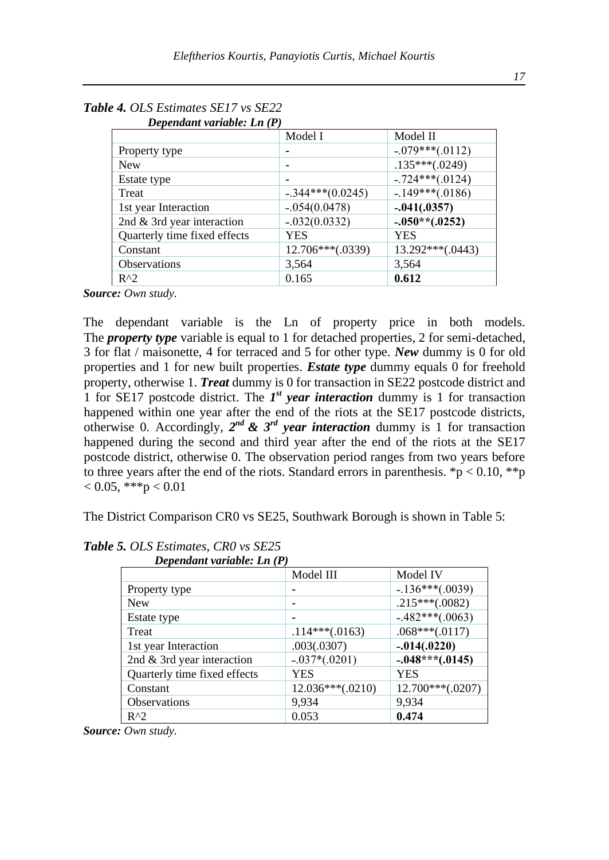| Dependant variable. En $\mu$ |                   |
|------------------------------|-------------------|
| Model I                      | Model II          |
|                              | $-.079***(.0112)$ |
|                              | $.135***(.0249)$  |
|                              | $-.724***(.0124)$ |
| $-.344***(0.0245)$           | $-.149***(.0186)$ |
| $-.054(0.0478)$              | $-.041(.0357)$    |
| $-.032(0.0332)$              | $-.050**(.0252)$  |
| YES                          | YES               |
| 12.706***(.0339)             | 13.292***(.0443)  |
| 3,564                        | 3,564             |
| 0.165                        | 0.612             |
|                              |                   |

| <b>Table 4. OLS Estimates SE17 vs SE22</b> |  |
|--------------------------------------------|--|
| Denendant variable: $I_n(P)$               |  |

*Source: Own study.*

The dependant variable is the Ln of property price in both models. The *property type* variable is equal to 1 for detached properties, 2 for semi-detached, 3 for flat / maisonette, 4 for terraced and 5 for other type. *New* dummy is 0 for old properties and 1 for new built properties. *Estate type* dummy equals 0 for freehold property, otherwise 1. *Treat* dummy is 0 for transaction in SE22 postcode district and 1 for SE17 postcode district. The  $I<sup>st</sup>$  *year interaction* dummy is 1 for transaction happened within one year after the end of the riots at the SE17 postcode districts, otherwise 0. Accordingly,  $2^{nd}$  &  $3^{rd}$  *year interaction* dummy is 1 for transaction happened during the second and third year after the end of the riots at the SE17 postcode district, otherwise 0. The observation period ranges from two years before to three years after the end of the riots. Standard errors in parenthesis. \*p < 0.10, \*\*p  $< 0.05,$  \*\*\*p $< 0.01$ 

The District Comparison CR0 vs SE25, Southwark Borough is shown in Table 5:

| Dependant variable: Ln (r)   |                    |                   |
|------------------------------|--------------------|-------------------|
|                              | Model III          | Model IV          |
| Property type                |                    | $-.136***(.0039)$ |
| <b>New</b>                   |                    | $.215***(.0082)$  |
| Estate type                  |                    | $-.482***(.0063)$ |
| Treat                        | $.114***(.0163)$   | $.068***(.0117)$  |
| 1st year Interaction         | .003(.0307)        | $-.014(.0220)$    |
| 2nd & 3rd year interaction   | $-.037*(.0201)$    | $-.048***(.0145)$ |
| Quarterly time fixed effects | YES                | YES               |
| Constant                     | $12.036***(.0210)$ | 12.700***(.0207)  |
| <b>Observations</b>          | 9,934              | 9,934             |
| $R^{\wedge}2$                | 0.053              | 0.474             |

*Table 5. OLS Estimates, CR0 vs SE25*  $\mathbf{D}$   $\mathbf{D}$   $\mathbf{D}$   $\mathbf{D}$   $\mathbf{D}$   $\mathbf{D}$   $\mathbf{D}$   $\mathbf{D}$   $\mathbf{D}$   $\mathbf{D}$   $\mathbf{D}$   $\mathbf{D}$   $\mathbf{D}$   $\mathbf{D}$   $\mathbf{D}$   $\mathbf{D}$   $\mathbf{D}$   $\mathbf{D}$   $\mathbf{D}$   $\mathbf{D}$   $\mathbf{D}$   $\mathbf{D}$   $\mathbf{D}$   $\mathbf{D}$   $\mathbf{$ 

*Source: Own study.*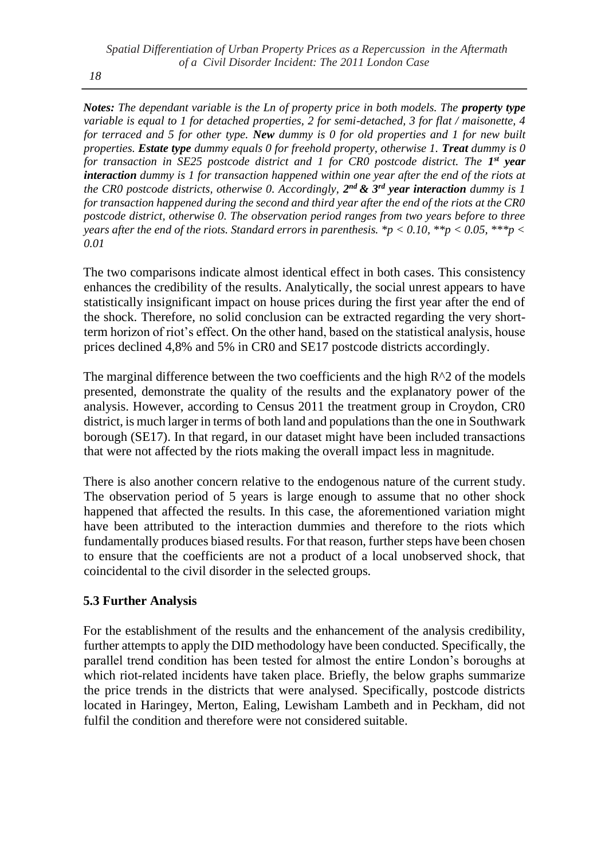*Notes: The dependant variable is the Ln of property price in both models. The property type variable is equal to 1 for detached properties, 2 for semi-detached, 3 for flat / maisonette, 4 for terraced and 5 for other type. New dummy is 0 for old properties and 1 for new built properties. Estate type dummy equals 0 for freehold property, otherwise 1. Treat dummy is 0*  for transaction in SE25 postcode district and 1 for CR0 postcode district. The 1<sup>st</sup> year *interaction dummy is 1 for transaction happened within one year after the end of the riots at the CR0 postcode districts, otherwise 0. Accordingly,*  $2^{nd}$  *&*  $3^{rd}$  *year interaction <i>dummy is 1 for transaction happened during the second and third year after the end of the riots at the CR0 postcode district, otherwise 0. The observation period ranges from two years before to three years after the end of the riots. Standard errors in parenthesis.* \*p  $< 0.10$ , \*\*p  $< 0.05$ , \*\*\*p  $<$ *0.01*

The two comparisons indicate almost identical effect in both cases. This consistency enhances the credibility of the results. Analytically, the social unrest appears to have statistically insignificant impact on house prices during the first year after the end of the shock. Therefore, no solid conclusion can be extracted regarding the very shortterm horizon of riot's effect. On the other hand, based on the statistical analysis, house prices declined 4,8% and 5% in CR0 and SE17 postcode districts accordingly.

The marginal difference between the two coefficients and the high  $R^2$  of the models presented, demonstrate the quality of the results and the explanatory power of the analysis. However, according to Census 2011 the treatment group in Croydon, CR0 district, is much larger in terms of both land and populations than the one in Southwark borough (SE17). In that regard, in our dataset might have been included transactions that were not affected by the riots making the overall impact less in magnitude.

There is also another concern relative to the endogenous nature of the current study. The observation period of 5 years is large enough to assume that no other shock happened that affected the results. In this case, the aforementioned variation might have been attributed to the interaction dummies and therefore to the riots which fundamentally produces biased results. For that reason, further steps have been chosen to ensure that the coefficients are not a product of a local unobserved shock, that coincidental to the civil disorder in the selected groups.

### **5.3 Further Analysis**

For the establishment of the results and the enhancement of the analysis credibility, further attempts to apply the DID methodology have been conducted. Specifically, the parallel trend condition has been tested for almost the entire London's boroughs at which riot-related incidents have taken place. Briefly, the below graphs summarize the price trends in the districts that were analysed. Specifically, postcode districts located in Haringey, Merton, Ealing, Lewisham Lambeth and in Peckham, did not fulfil the condition and therefore were not considered suitable.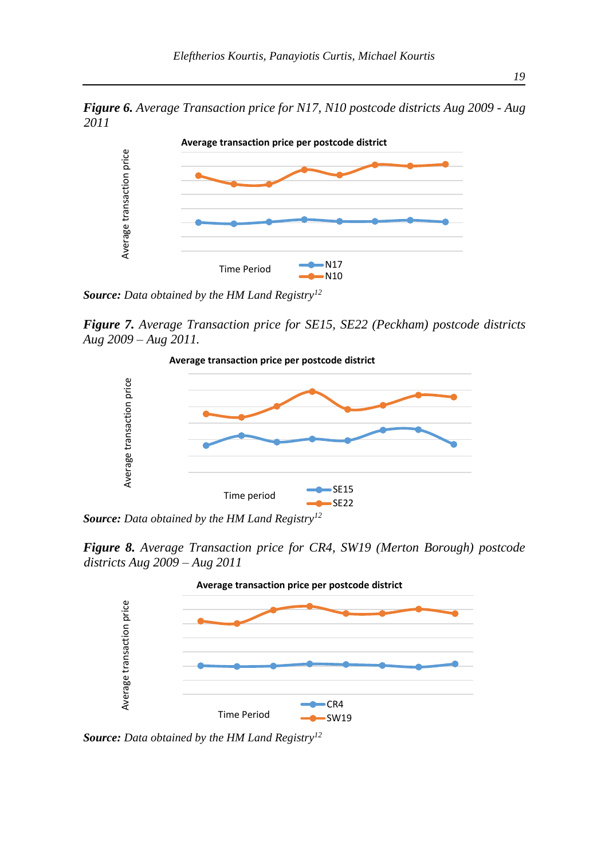*Figure 6. Average Transaction price for N17, N10 postcode districts Aug 2009 - Aug 2011*



*Source: Data obtained by the HM Land Registry<sup>12</sup>*

*Figure 7. Average Transaction price for SE15, SE22 (Peckham) postcode districts Aug 2009 – Aug 2011.* 



*Source: Data obtained by the HM Land Registry<sup>12</sup>*

*Figure 8. Average Transaction price for CR4, SW19 (Merton Borough) postcode districts Aug 2009 – Aug 2011*

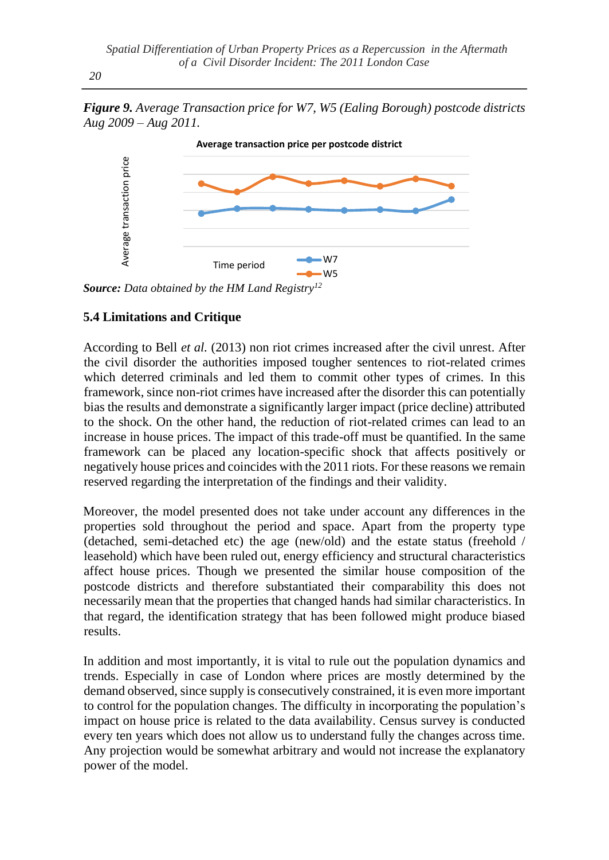*20*





*Source: Data obtained by the HM Land Registry<sup>12</sup>*

## **5.4 Limitations and Critique**

According to Bell *et al.* (2013) non riot crimes increased after the civil unrest. After the civil disorder the authorities imposed tougher sentences to riot-related crimes which deterred criminals and led them to commit other types of crimes. In this framework, since non-riot crimes have increased after the disorder this can potentially bias the results and demonstrate a significantly larger impact (price decline) attributed to the shock. On the other hand, the reduction of riot-related crimes can lead to an increase in house prices. The impact of this trade-off must be quantified. In the same framework can be placed any location-specific shock that affects positively or negatively house prices and coincides with the 2011 riots. For these reasons we remain reserved regarding the interpretation of the findings and their validity. between the model.<br>
Source: Data obtained<br>
Source: Data obtained<br>
5.4 Limitations and<br>
According to Bell *et*<br>
the civil disorder the which deterred crim<br>
framework, since no bias the results and d<br>
to the shock. On the<br>

Moreover, the model presented does not take under account any differences in the properties sold throughout the period and space. Apart from the property type (detached, semi-detached etc) the age (new/old) and the estate status (freehold / leasehold) which have been ruled out, energy efficiency and structural characteristics affect house prices. Though we presented the similar house composition of the postcode districts and therefore substantiated their comparability this does not necessarily mean that the properties that changed hands had similar characteristics. In that regard, the identification strategy that has been followed might produce biased results.

In addition and most importantly, it is vital to rule out the population dynamics and trends. Especially in case of London where prices are mostly determined by the demand observed, since supply is consecutively constrained, it is even more important to control for the population changes. The difficulty in incorporating the population's impact on house price is related to the data availability. Census survey is conducted every ten years which does not allow us to understand fully the changes across time. Any projection would be somewhat arbitrary and would not increase the explanatory power of the model.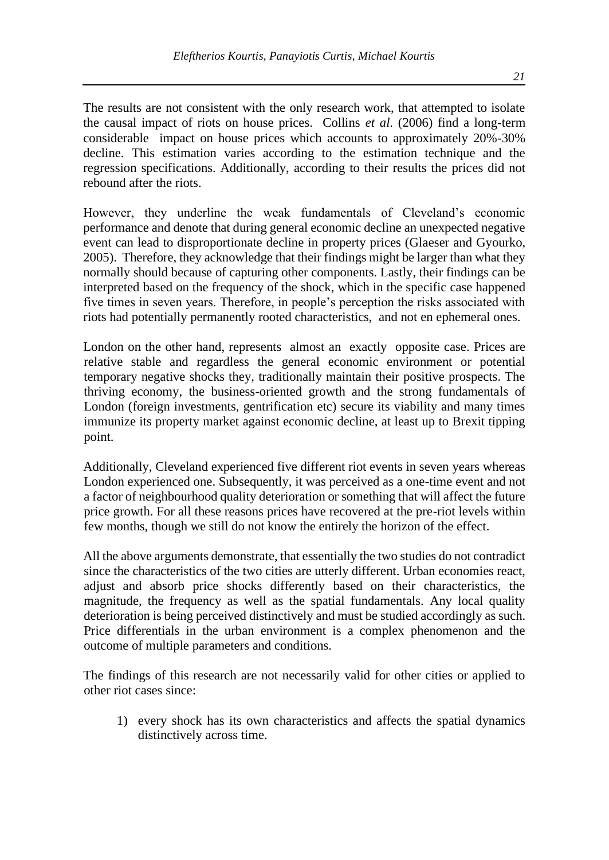The results are not consistent with the only research work, that attempted to isolate the causal impact of riots on house prices. Collins *et al.* (2006) find a long-term considerable impact on house prices which accounts to approximately 20%-30% decline. This estimation varies according to the estimation technique and the regression specifications. Additionally, according to their results the prices did not rebound after the riots.

However, they underline the weak fundamentals of Cleveland's economic performance and denote that during general economic decline an unexpected negative event can lead to disproportionate decline in property prices (Glaeser and Gyourko, 2005). Therefore, they acknowledge that their findings might be larger than what they normally should because of capturing other components. Lastly, their findings can be interpreted based on the frequency of the shock, which in the specific case happened five times in seven years. Therefore, in people's perception the risks associated with riots had potentially permanently rooted characteristics, and not en ephemeral ones.

London on the other hand, represents almost an exactly opposite case. Prices are relative stable and regardless the general economic environment or potential temporary negative shocks they, traditionally maintain their positive prospects. The thriving economy, the business-oriented growth and the strong fundamentals of London (foreign investments, gentrification etc) secure its viability and many times immunize its property market against economic decline, at least up to Brexit tipping point.

Additionally, Cleveland experienced five different riot events in seven years whereas London experienced one. Subsequently, it was perceived as a one-time event and not a factor of neighbourhood quality deterioration or something that will affect the future price growth. For all these reasons prices have recovered at the pre-riot levels within few months, though we still do not know the entirely the horizon of the effect.

All the above arguments demonstrate, that essentially the two studies do not contradict since the characteristics of the two cities are utterly different. Urban economies react, adjust and absorb price shocks differently based on their characteristics, the magnitude, the frequency as well as the spatial fundamentals. Any local quality deterioration is being perceived distinctively and must be studied accordingly as such. Price differentials in the urban environment is a complex phenomenon and the outcome of multiple parameters and conditions.

The findings of this research are not necessarily valid for other cities or applied to other riot cases since:

1) every shock has its own characteristics and affects the spatial dynamics distinctively across time.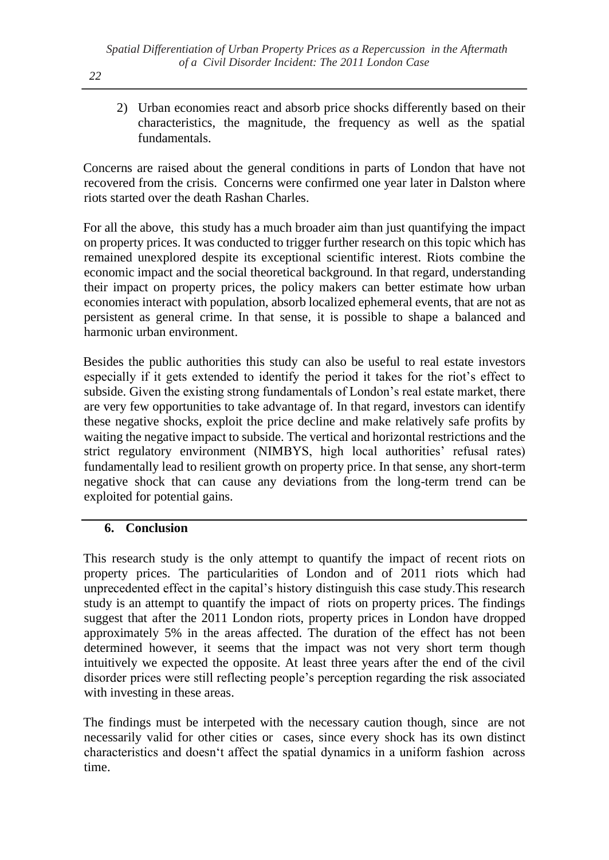2) Urban economies react and absorb price shocks differently based on their characteristics, the magnitude, the frequency as well as the spatial fundamentals.

Concerns are raised about the general conditions in parts of London that have not recovered from the crisis. Concerns were confirmed one year later in Dalston where riots started over the death Rashan Charles.

For all the above, this study has a much broader aim than just quantifying the impact on property prices. It was conducted to trigger further research on this topic which has remained unexplored despite its exceptional scientific interest. Riots combine the economic impact and the social theoretical background. In that regard, understanding their impact on property prices, the policy makers can better estimate how urban economies interact with population, absorb localized ephemeral events, that are not as persistent as general crime. In that sense, it is possible to shape a balanced and harmonic urban environment.

Besides the public authorities this study can also be useful to real estate investors especially if it gets extended to identify the period it takes for the riot's effect to subside. Given the existing strong fundamentals of London's real estate market, there are very few opportunities to take advantage of. In that regard, investors can identify these negative shocks, exploit the price decline and make relatively safe profits by waiting the negative impact to subside. The vertical and horizontal restrictions and the strict regulatory environment (NIMBYS, high local authorities' refusal rates) fundamentally lead to resilient growth on property price. In that sense, any short-term negative shock that can cause any deviations from the long-term trend can be exploited for potential gains.

### **6. Conclusion**

This research study is the only attempt to quantify the impact of recent riots on property prices. The particularities of London and of 2011 riots which had unprecedented effect in the capital's history distinguish this case study.This research study is an attempt to quantify the impact of riots on property prices. The findings suggest that after the 2011 London riots, property prices in London have dropped approximately 5% in the areas affected. The duration of the effect has not been determined however, it seems that the impact was not very short term though intuitively we expected the opposite. At least three years after the end of the civil disorder prices were still reflecting people's perception regarding the risk associated with investing in these areas.

The findings must be interpeted with the necessary caution though, since are not necessarily valid for other cities or cases, since every shock has its own distinct characteristics and doesn't affect the spatial dynamics in a uniform fashion across time.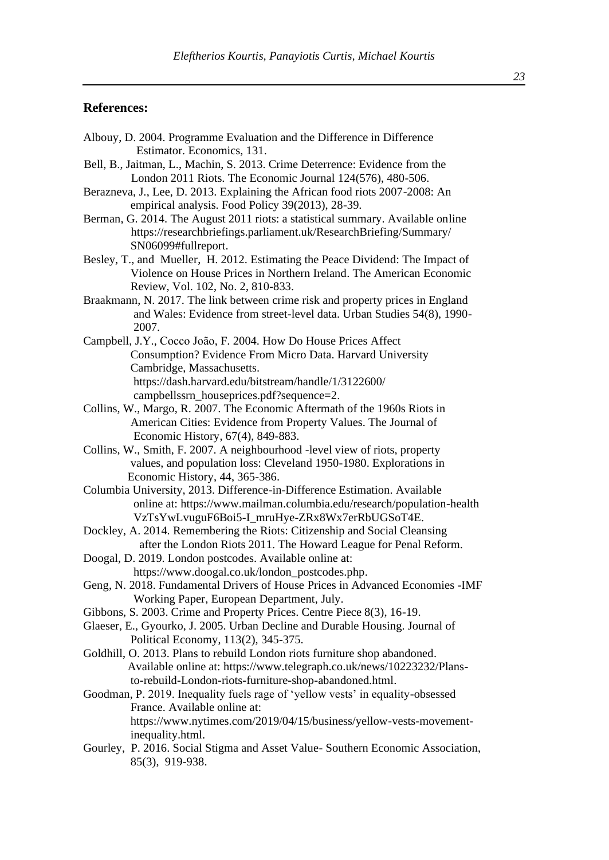#### **References:**

- Albouy, D. 2004. Programme Evaluation and the Difference in Difference Estimator. Economics, 131.
- Bell, B., Jaitman, L., Machin, S. 2013. Crime Deterrence: Evidence from the London 2011 Riots. The Economic Journal 124(576), 480-506.
- Berazneva, J., Lee, D. 2013. Explaining the African food riots 2007-2008: An empirical analysis. Food Policy 39(2013), 28-39.
- Berman, G. 2014. The August 2011 riots: a statistical summary. Available online [https://researchbriefings.parliament.uk/ResearchBriefing/Summary/](https://researchbriefings.parliament.uk/ResearchBriefing/Summary/%20%20%20%20%20%20%20SN06099#fullreport)  SN06099#fullreport.
- Besley, T., and Mueller, H. 2012. Estimating the Peace Dividend: The Impact of Violence on House Prices in Northern Ireland. The American Economic Review, Vol. 102, No. 2, 810-833.
- Braakmann, N. 2017. The link between crime risk and property prices in England and Wales: Evidence from street-level data. Urban Studies 54(8), 1990- 2007.
- Campbell, J.Y., Cocco João, F. 2004. How Do House Prices Affect Consumption? Evidence From Micro Data. Harvard University Cambridge, Massachusetts. [https://dash.harvard.edu/bitstream/handle/1/3122600/](https://dash.harvard.edu/bitstream/handle/1/3122600/%20%20%20%20%20%20%20%20%20%20%20%20%20%20%20%20campbellssrn_houseprices.pdf?sequence=2)  campbellssrn\_houseprices.pdf?sequence=2.
- Collins, W., Margo, R. 2007. The Economic Aftermath of the 1960s Riots in American Cities: Evidence from Property Values. The Journal of Economic History, 67(4), 849-883.
- Collins, W., Smith, F. 2007. A neighbourhood -level view of riots, property values, and population loss: Cleveland 1950-1980. Explorations in Economic History, 44, 365-386.
- Columbia University, 2013. Difference-in-Difference Estimation. Available online at:<https://www.mailman.columbia.edu/research/population-health> VzTsYwLvuguF6Boi5-I\_mruHye-ZRx8Wx7erRbUGSoT4E.
- Dockley, A. 2014. Remembering the Riots: Citizenship and Social Cleansing after the London Riots 2011. The Howard League for Penal Reform.
- Doogal, D. 2019. London postcodes. Available online at: [https://www.doogal.co.uk/london\\_postcodes.php.](https://www.doogal.co.uk/london_postcodes.php)
- Geng, N. 2018. Fundamental Drivers of House Prices in Advanced Economies -IMF Working Paper, European Department, July.
- Gibbons, S. 2003. Crime and Property Prices. Centre Piece 8(3), 16-19.
- Glaeser, E., Gyourko, J. 2005. Urban Decline and Durable Housing. Journal of Political Economy, 113(2), 345-375.
- Goldhill, O. 2013. Plans to rebuild London riots furniture shop abandoned. Available online at: [https://www.telegraph.co.uk/news/10223232/Plans](https://www.telegraph.co.uk/news/10223232/Plans-to-rebuild-London-riots-furniture-shop-abandoned.html) to-rebuild-London-riots-furniture-shop-abandoned.html.
- Goodman, P. 2019. Inequality fuels rage of 'yellow vests' in equality-obsessed France. Available online at: [https://www.nytimes.com/2019/04/15/business/yellow-vests-movement](https://www.nytimes.com/2019/04/15/business/yellow-vests-movement-)  inequality.html.
- Gourley, P. 2016. Social Stigma and Asset Value- Southern Economic Association, [85\(3\)](https://onlinelibrary.wiley.com/toc/23258012/2019/85/3), 919-938.